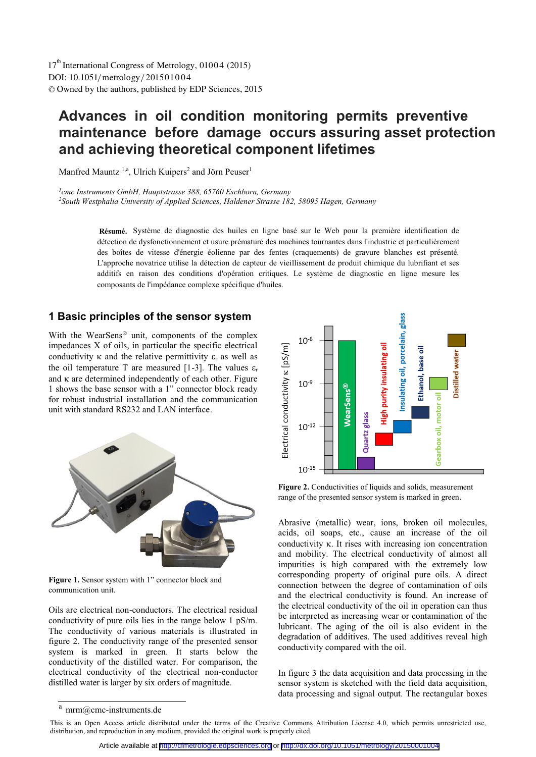DOI: 10.1051/ metrology/20150 01 0 4 -<sup>C</sup> Owned by the authors, published by EDP Sciences, 2015 17<sup>th</sup> International Congress of Metrology, 01004 (2015)

# **Advances in oil condition monitoring permits preventive maintenance before damage occurs assuring asset protection and achieving theoretical component lifetimes**

Manfred Mauntz<sup>1,a</sup>, Ulrich Kuipers<sup>2</sup> and Jörn Peuser<sup>1</sup>

*1cmc Instruments GmbH, Hauptstrasse 388, 65760 Eschborn, Germany 2South Westphalia University of Applied Sciences, Haldener Strasse 182, 58095 Hagen, Germany* 

> Système de diagnostic des huiles en ligne basé sur le Web pour la première identification de **Résumé.**  détection de dysfonctionnement et usure prématuré des machines tournantes dans l'industrie et particulièrement des boîtes de vitesse d'énergie éolienne par des fentes (craquements) de gravure blanches est présenté. L'approche novatrice utilise la détection de capteur de vieillissement de produit chimique du lubrifiant et ses additifs en raison des conditions d'opération critiques. Le système de diagnostic en ligne mesure les composants de l'impédance complexe spécifique d'huiles.

# **1 Basic principles of the sensor system**

With the WearSens® unit, components of the complex impedances X of oils, in particular the specific electrical conductivity  $\kappa$  and the relative permittivity  $\varepsilon_r$  as well as the oil temperature T are measured [1-3]. The values  $\varepsilon_r$ and  $\kappa$  are determined independently of each other. Figure 1 shows the base sensor with a 1" connector block ready for robust industrial installation and the communication unit with standard RS232 and LAN interface.



**Figure 1.** Sensor system with 1" connector block and communication unit.

Oils are electrical non-conductors. The electrical residual conductivity of pure oils lies in the range below 1 pS/m. The conductivity of various materials is illustrated in figure 2. The conductivity range of the presented sensor system is marked in green. It starts below the conductivity of the distilled water. For comparison, the electrical conductivity of the electrical non-conductor distilled water is larger by six orders of magnitude.



**Figure 2.** Conductivities of liquids and solids, measurement range of the presented sensor system is marked in green.

Abrasive (metallic) wear, ions, broken oil molecules, acids, oil soaps, etc., cause an increase of the oil conductivity  $\kappa$ . It rises with increasing ion concentration and mobility. The electrical conductivity of almost all impurities is high compared with the extremely low corresponding property of original pure oils. A direct connection between the degree of contamination of oils and the electrical conductivity is found. An increase of the electrical conductivity of the oil in operation can thus be interpreted as increasing wear or contamination of the lubricant. The aging of the oil is also evident in the degradation of additives. The used additives reveal high conductivity compared with the oil.

In figure 3 the data acquisition and data processing in the sensor system is sketched with the field data acquisition, data processing and signal output. The rectangular boxes

 $a$  mrm $@cmc$ -instruments.de

This is an Open Access article distributed under the terms of the Creative Commons Attribution License 4.0, which permits unrestricted use, distribution, and reproduction in any medium, provided the original work is properly cited.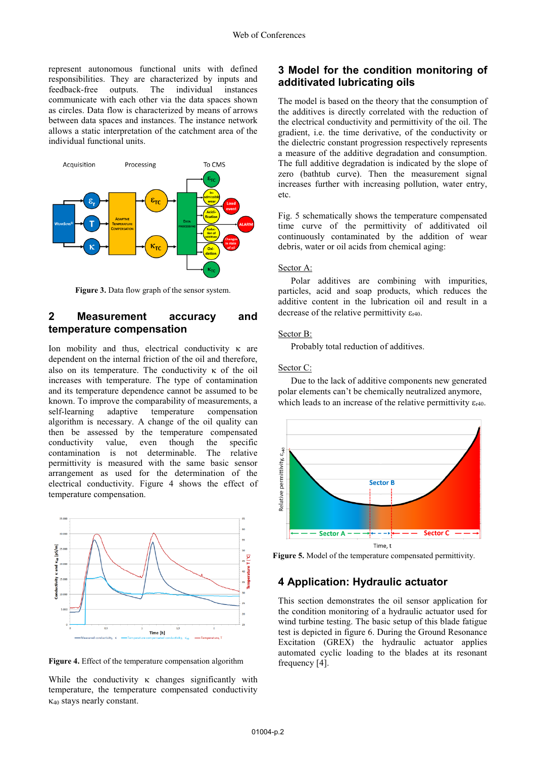represent autonomous functional units with defined responsibilities. They are characterized by inputs and feedback-free outputs. The individual instances communicate with each other via the data spaces shown as circles. Data flow is characterized by means of arrows between data spaces and instances. The instance network allows a static interpretation of the catchment area of the individual functional units.



**Figure 3.** Data flow graph of the sensor system.

# **2 Measurement accuracy and temperature compensation**

Ion mobility and thus, electrical conductivity  $\kappa$  are dependent on the internal friction of the oil and therefore, also on its temperature. The conductivity  $\kappa$  of the oil increases with temperature. The type of contamination and its temperature dependence cannot be assumed to be known. To improve the comparability of measurements, a self-learning adaptive temperature compensation algorithm is necessary. A change of the oil quality can then be assessed by the temperature compensated conductivity value, even though the specific<br>contamination is not determinable. The relative contamination is not determinable. permittivity is measured with the same basic sensor arrangement as used for the determination of the electrical conductivity. Figure 4 shows the effect of temperature compensation.



**Figure 4.** Effect of the temperature compensation algorithm

While the conductivity  $\kappa$  changes significantly with temperature, the temperature compensated conductivity -40 stays nearly constant.

# **3 Model for the condition monitoring of additivated lubricating oils**

The model is based on the theory that the consumption of the additives is directly correlated with the reduction of the electrical conductivity and permittivity of the oil. The gradient, i.e. the time derivative, of the conductivity or the dielectric constant progression respectively represents a measure of the additive degradation and consumption. The full additive degradation is indicated by the slope of zero (bathtub curve). Then the measurement signal increases further with increasing pollution, water entry, etc.

Fig. 5 schematically shows the temperature compensated time curve of the permittivity of additivated oil continuously contaminated by the addition of wear debris, water or oil acids from chemical aging:

#### Sector A:

Polar additives are combining with impurities, particles, acid and soap products, which reduces the additive content in the lubrication oil and result in a decrease of the relative permittivity  $\varepsilon_{r40}$ .

#### Sector B:

Probably total reduction of additives.

#### Sector C:

Due to the lack of additive components new generated polar elements can't be chemically neutralized anymore, which leads to an increase of the relative permittivity  $\varepsilon_{r40}$ .



**Figure 5.** Model of the temperature compensated permittivity.

#### **4 Application: Hydraulic actuator**

This section demonstrates the oil sensor application for the condition monitoring of a hydraulic actuator used for wind turbine testing. The basic setup of this blade fatigue test is depicted in figure 6. During the Ground Resonance Excitation (GREX) the hydraulic actuator applies automated cyclic loading to the blades at its resonant frequency [4].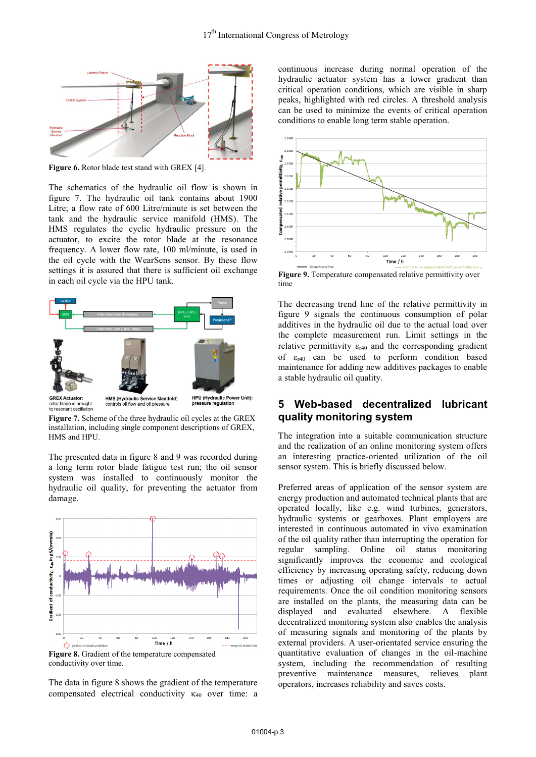

**Figure 6.** Rotor blade test stand with GREX [4].

The schematics of the hydraulic oil flow is shown in figure 7. The hydraulic oil tank contains about 1900 Litre; a flow rate of 600 Litre/minute is set between the tank and the hydraulic service manifold (HMS). The HMS regulates the cyclic hydraulic pressure on the actuator, to excite the rotor blade at the resonance frequency. A lower flow rate, 100 ml/minute, is used in the oil cycle with the WearSens sensor. By these flow settings it is assured that there is sufficient oil exchange in each oil cycle via the HPU tank.



rotor blade is brough<br>to resonant oscillatio

**Figure 7.** Scheme of the three hydraulic oil cycles at the GREX installation, including single component descriptions of GREX, HMS and HPU.

The presented data in figure 8 and 9 was recorded during a long term rotor blade fatigue test run; the oil sensor system was installed to continuously monitor the hydraulic oil quality, for preventing the actuator from damage.



conductivity over time.

The data in figure 8 shows the gradient of the temperature compensated electrical conductivity  $\kappa_{40}$  over time: a

continuous increase during normal operation of the hydraulic actuator system has a lower gradient than critical operation conditions, which are visible in sharp peaks, highlighted with red circles. A threshold analysis can be used to minimize the events of critical operation conditions to enable long term stable operation.



Figure 9. Temperature compensated relative permittivity over time

The decreasing trend line of the relative permittivity in figure 9 signals the continuous consumption of polar additives in the hydraulic oil due to the actual load over the complete measurement run. Limit settings in the relative permittivity  $\varepsilon_{r40}$  and the corresponding gradient of  $\varepsilon_{r40}$  can be used to perform condition based maintenance for adding new additives packages to enable a stable hydraulic oil quality.

# **5 Web-based decentralized lubricant quality monitoring system**

The integration into a suitable communication structure and the realization of an online monitoring system offers an interesting practice-oriented utilization of the oil sensor system. This is briefly discussed below.

Preferred areas of application of the sensor system are energy production and automated technical plants that are operated locally, like e.g. wind turbines, generators, hydraulic systems or gearboxes. Plant employers are interested in continuous automated in vivo examination of the oil quality rather than interrupting the operation for regular sampling. Online oil status monitoring significantly improves the economic and ecological efficiency by increasing operating safety, reducing down times or adjusting oil change intervals to actual requirements. Once the oil condition monitoring sensors are installed on the plants, the measuring data can be displayed and evaluated elsewhere. A flexible decentralized monitoring system also enables the analysis of measuring signals and monitoring of the plants by external providers. A user-orientated service ensuring the quantitative evaluation of changes in the oil-machine system, including the recommendation of resulting preventive maintenance measures, relieves plant operators, increases reliability and saves costs.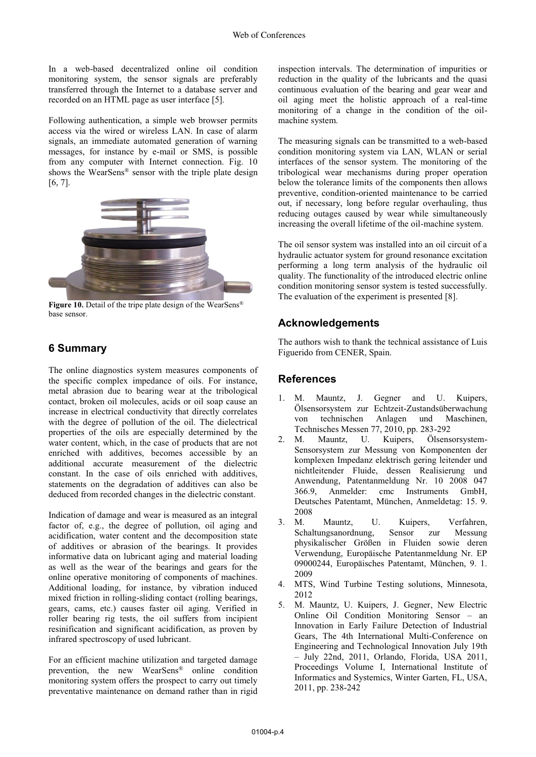In a web-based decentralized online oil condition monitoring system, the sensor signals are preferably transferred through the Internet to a database server and recorded on an HTML page as user interface [5].

Following authentication, a simple web browser permits access via the wired or wireless LAN. In case of alarm signals, an immediate automated generation of warning messages, for instance by e-mail or SMS, is possible from any computer with Internet connection. Fig. 10 shows the WearSens® sensor with the triple plate design [6, 7].



Figure 10. Detail of the tripe plate design of the WearSens<sup>®</sup> base sensor.

## **6 Summary**

The online diagnostics system measures components of the specific complex impedance of oils. For instance, metal abrasion due to bearing wear at the tribological contact, broken oil molecules, acids or oil soap cause an increase in electrical conductivity that directly correlates with the degree of pollution of the oil. The dielectrical properties of the oils are especially determined by the water content, which, in the case of products that are not enriched with additives, becomes accessible by an additional accurate measurement of the dielectric constant. In the case of oils enriched with additives, statements on the degradation of additives can also be deduced from recorded changes in the dielectric constant.

Indication of damage and wear is measured as an integral factor of, e.g., the degree of pollution, oil aging and acidification, water content and the decomposition state of additives or abrasion of the bearings. It provides informative data on lubricant aging and material loading as well as the wear of the bearings and gears for the online operative monitoring of components of machines. Additional loading, for instance, by vibration induced mixed friction in rolling-sliding contact (rolling bearings, gears, cams, etc.) causes faster oil aging. Verified in roller bearing rig tests, the oil suffers from incipient resinification and significant acidification, as proven by infrared spectroscopy of used lubricant.

For an efficient machine utilization and targeted damage prevention, the new WearSens® online condition monitoring system offers the prospect to carry out timely preventative maintenance on demand rather than in rigid

inspection intervals. The determination of impurities or reduction in the quality of the lubricants and the quasi continuous evaluation of the bearing and gear wear and oil aging meet the holistic approach of a real-time monitoring of a change in the condition of the oilmachine system.

The measuring signals can be transmitted to a web-based condition monitoring system via LAN, WLAN or serial interfaces of the sensor system. The monitoring of the tribological wear mechanisms during proper operation below the tolerance limits of the components then allows preventive, condition-oriented maintenance to be carried out, if necessary, long before regular overhauling, thus reducing outages caused by wear while simultaneously increasing the overall lifetime of the oil-machine system.

The oil sensor system was installed into an oil circuit of a hydraulic actuator system for ground resonance excitation performing a long term analysis of the hydraulic oil quality. The functionality of the introduced electric online condition monitoring sensor system is tested successfully. The evaluation of the experiment is presented [8].

# **Acknowledgements**

The authors wish to thank the technical assistance of Luis Figuerido from CENER, Spain.

## **References**

- 1. M. Mauntz, J. Gegner and U. Kuipers, Ölsensorsystem zur Echtzeit-Zustandsüberwachung von technischen Anlagen und Maschinen, Technisches Messen 77, 2010, pp. 283-292<br>2. M. Mauntz. U. Kuipers. Ölsens
- Mauntz, U. Kuipers, Ölsensorsystem-Sensorsystem zur Messung von Komponenten der komplexen Impedanz elektrisch gering leitender und nichtleitender Fluide, dessen Realisierung und Anwendung, Patentanmeldung Nr. 10 2008 047 366.9, Anmelder: cmc Instruments GmbH, Deutsches Patentamt, München, Anmeldetag: 15. 9. 2008
- 3. M. Mauntz, U. Kuipers, Verfahren, Schaltungsanordnung, Sensor zur Messung physikalischer Größen in Fluiden sowie deren Verwendung, Europäische Patentanmeldung Nr. EP 09000244, Europäisches Patentamt, München, 9. 1. 2009
- 4. MTS, Wind Turbine Testing solutions, Minnesota, 2012
- 5. M. Mauntz, U. Kuipers, J. Gegner, New Electric Online Oil Condition Monitoring Sensor – an Innovation in Early Failure Detection of Industrial Gears, The 4th International Multi-Conference on Engineering and Technological Innovation July 19th – July 22nd, 2011, Orlando, Florida, USA 2011, Proceedings Volume I, International Institute of Informatics and Systemics, Winter Garten, FL, USA, 2011, pp. 238-242